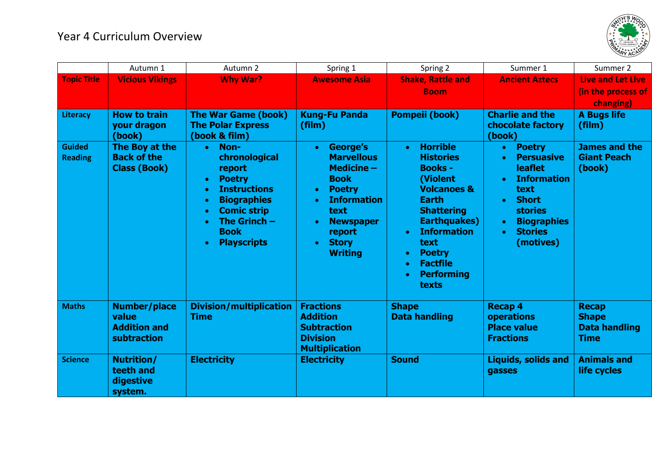

|                                 | Autumn 1                                                           | Autumn 2                                                                                                                                                                                                                                                 | Spring 1                                                                                                                                                                                                                                     | Spring 2                                                                                                                                                                                                                                                                                       | Summer 1                                                                                                                                                                                                                                                | Summer 2                                                            |
|---------------------------------|--------------------------------------------------------------------|----------------------------------------------------------------------------------------------------------------------------------------------------------------------------------------------------------------------------------------------------------|----------------------------------------------------------------------------------------------------------------------------------------------------------------------------------------------------------------------------------------------|------------------------------------------------------------------------------------------------------------------------------------------------------------------------------------------------------------------------------------------------------------------------------------------------|---------------------------------------------------------------------------------------------------------------------------------------------------------------------------------------------------------------------------------------------------------|---------------------------------------------------------------------|
| <b>Topic Title</b>              | <b>Vicious Vikings</b>                                             | <b>Why War?</b>                                                                                                                                                                                                                                          | <b>Awesome Asia</b>                                                                                                                                                                                                                          | <b>Shake, Rattle and</b><br><b>Boom</b>                                                                                                                                                                                                                                                        | <b>Ancient Aztecs</b>                                                                                                                                                                                                                                   | <b>Live and Let Live</b><br>(in the process of                      |
|                                 |                                                                    |                                                                                                                                                                                                                                                          |                                                                                                                                                                                                                                              |                                                                                                                                                                                                                                                                                                |                                                                                                                                                                                                                                                         | changing)                                                           |
| Literacy                        | <b>How to train</b><br>your dragon<br>(book)                       | <b>The War Game (book)</b><br><b>The Polar Express</b><br>(book & film)                                                                                                                                                                                  | <b>Kung-Fu Panda</b><br>(film)                                                                                                                                                                                                               | Pompeii (book)                                                                                                                                                                                                                                                                                 | <b>Charlie and the</b><br>chocolate factory<br>(book)                                                                                                                                                                                                   | <b>A Bugs life</b><br>(film)                                        |
| <b>Guided</b><br><b>Reading</b> | The Boy at the<br><b>Back of the</b><br><b>Class (Book)</b>        | Non-<br>$\bullet$<br>chronological<br>report<br><b>Poetry</b><br>$\bullet$<br><b>Instructions</b><br>$\bullet$<br><b>Biographies</b><br>$\bullet$<br><b>Comic strip</b><br>The Grinch $-$<br>$\bullet$<br><b>Book</b><br><b>Playscripts</b><br>$\bullet$ | George's<br>$\bullet$<br><b>Marvellous</b><br>Medicine $-$<br><b>Book</b><br><b>Poetry</b><br>$\bullet$<br><b>Information</b><br>$\bullet$<br>text<br><b>Newspaper</b><br>$\bullet$<br>report<br><b>Story</b><br>$\bullet$<br><b>Writing</b> | <b>Horrible</b><br>$\bullet$<br><b>Histories</b><br><b>Books -</b><br>(Violent<br><b>Volcanoes &amp;</b><br><b>Earth</b><br><b>Shattering</b><br><b>Earthquakes)</b><br><b>Information</b><br>text<br><b>Poetry</b><br>$\bullet$<br><b>Factfile</b><br><b>Performing</b><br>$\bullet$<br>texts | <b>Poetry</b><br>$\bullet$<br><b>Persuasive</b><br>$\bullet$<br><b>leaflet</b><br><b>Information</b><br>$\bullet$<br>text<br><b>Short</b><br>$\bullet$<br><b>stories</b><br><b>Biographies</b><br>$\bullet$<br><b>Stories</b><br>$\bullet$<br>(motives) | <b>James and the</b><br><b>Giant Peach</b><br>(book)                |
| <b>Maths</b>                    | <b>Number/place</b><br>value<br><b>Addition and</b><br>subtraction | <b>Division/multiplication</b><br><b>Time</b>                                                                                                                                                                                                            | <b>Fractions</b><br><b>Addition</b><br><b>Subtraction</b><br><b>Division</b><br><b>Multiplication</b>                                                                                                                                        | <b>Shape</b><br><b>Data handling</b>                                                                                                                                                                                                                                                           | <b>Recap 4</b><br>operations<br><b>Place value</b><br><b>Fractions</b>                                                                                                                                                                                  | <b>Recap</b><br><b>Shape</b><br><b>Data handling</b><br><b>Time</b> |
| <b>Science</b>                  | <b>Nutrition/</b><br>teeth and<br>digestive<br>system.             | <b>Electricity</b>                                                                                                                                                                                                                                       | <b>Electricity</b>                                                                                                                                                                                                                           | <b>Sound</b>                                                                                                                                                                                                                                                                                   | <b>Liquids, solids and</b><br>gasses                                                                                                                                                                                                                    | <b>Animals and</b><br>life cycles                                   |